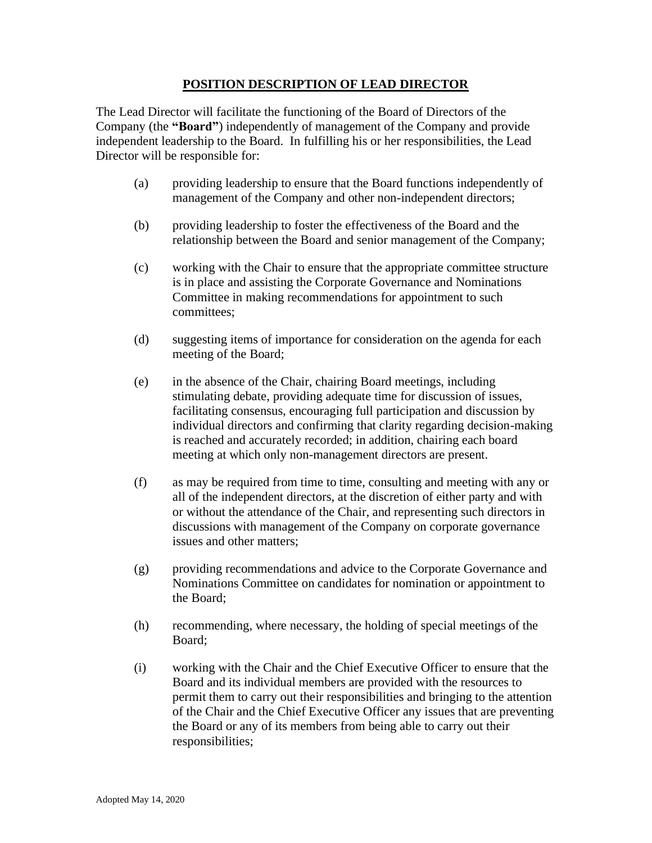## **POSITION DESCRIPTION OF LEAD DIRECTOR**

The Lead Director will facilitate the functioning of the Board of Directors of the Company (the **"Board"**) independently of management of the Company and provide independent leadership to the Board. In fulfilling his or her responsibilities, the Lead Director will be responsible for:

- (a) providing leadership to ensure that the Board functions independently of management of the Company and other non-independent directors;
- (b) providing leadership to foster the effectiveness of the Board and the relationship between the Board and senior management of the Company;
- (c) working with the Chair to ensure that the appropriate committee structure is in place and assisting the Corporate Governance and Nominations Committee in making recommendations for appointment to such committees;
- (d) suggesting items of importance for consideration on the agenda for each meeting of the Board;
- (e) in the absence of the Chair, chairing Board meetings, including stimulating debate, providing adequate time for discussion of issues, facilitating consensus, encouraging full participation and discussion by individual directors and confirming that clarity regarding decision-making is reached and accurately recorded; in addition, chairing each board meeting at which only non-management directors are present.
- (f) as may be required from time to time, consulting and meeting with any or all of the independent directors, at the discretion of either party and with or without the attendance of the Chair, and representing such directors in discussions with management of the Company on corporate governance issues and other matters;
- (g) providing recommendations and advice to the Corporate Governance and Nominations Committee on candidates for nomination or appointment to the Board;
- (h) recommending, where necessary, the holding of special meetings of the Board;
- (i) working with the Chair and the Chief Executive Officer to ensure that the Board and its individual members are provided with the resources to permit them to carry out their responsibilities and bringing to the attention of the Chair and the Chief Executive Officer any issues that are preventing the Board or any of its members from being able to carry out their responsibilities;